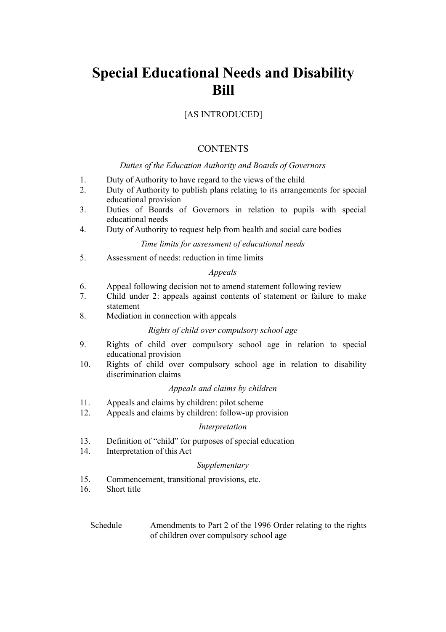## [AS INTRODUCED]

## **CONTENTS**

### *Duties of the Education Authority and Boards of Governors*

- 1. Duty of Authority to have regard to the views of the child
- 2. Duty of Authority to publish plans relating to its arrangements for special educational provision
- 3. Duties of Boards of Governors in relation to pupils with special educational needs
- 4. Duty of Authority to request help from health and social care bodies

### *Time limits for assessment of educational needs*

5. Assessment of needs: reduction in time limits

### *Appeals*

- 6. Appeal following decision not to amend statement following review
- 7. Child under 2: appeals against contents of statement or failure to make statement
- 8. Mediation in connection with appeals

### *Rights of child over compulsory school age*

- 9. Rights of child over compulsory school age in relation to special educational provision
- 10. Rights of child over compulsory school age in relation to disability discrimination claims

### *Appeals and claims by children*

- 11. Appeals and claims by children: pilot scheme
- 12. Appeals and claims by children: follow-up provision

### *Interpretation*

- 13. Definition of "child" for purposes of special education
- 14. Interpretation of this Act

### *Supplementary*

- 15. Commencement, transitional provisions, etc.
- 16. Short title
	- Schedule Amendments to Part 2 of the 1996 Order relating to the rights of children over compulsory school age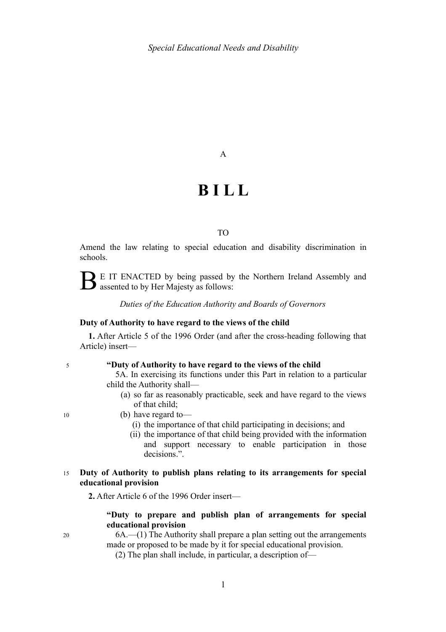### A

# **B I L L**

### TO

Amend the law relating to special education and disability discrimination in schools.

 $\sum$  E IT ENACTED by being passed by the Northern Ireland Assembly and assented to by Her Majesty as follows:

*Duties of the Education Authority and Boards of Governors*

### **Duty of Authority to have regard to the views of the child**

**1.** After Article 5 of the 1996 Order (and after the cross-heading following that Article) insert—

5

### **"Duty of Authority to have regard to the views of the child**

5A. In exercising its functions under this Part in relation to a particular child the Authority shall—

- (a) so far as reasonably practicable, seek and have regard to the views of that child;
- (b) have regard to—
	- (i) the importance of that child participating in decisions; and
	- (ii) the importance of that child being provided with the information and support necessary to enable participation in those decisions.".

#### **Duty of Authority to publish plans relating to its arrangements for special educational provision**  15

**2.** After Article 6 of the 1996 Order insert—

### **"Duty to prepare and publish plan of arrangements for special educational provision**

6A.—(1) The Authority shall prepare a plan setting out the arrangements made or proposed to be made by it for special educational provision.

(2) The plan shall include, in particular, a description of—

1

10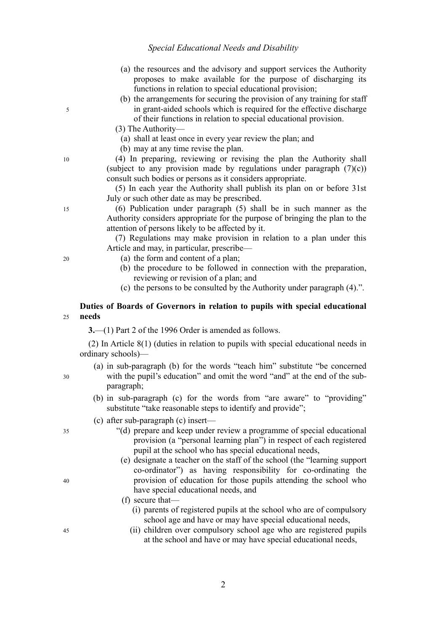- (a) the resources and the advisory and support services the Authority proposes to make available for the purpose of discharging its functions in relation to special educational provision;
- (b) the arrangements for securing the provision of any training for staff in grant-aided schools which is required for the effective discharge of their functions in relation to special educational provision.
- (3) The Authority—
	- (a) shall at least once in every year review the plan; and
	- (b) may at any time revise the plan.

(4) In preparing, reviewing or revising the plan the Authority shall (subject to any provision made by regulations under paragraph  $(7)(c)$ ) consult such bodies or persons as it considers appropriate.

(5) In each year the Authority shall publish its plan on or before 31st July or such other date as may be prescribed.

(6) Publication under paragraph (5) shall be in such manner as the Authority considers appropriate for the purpose of bringing the plan to the attention of persons likely to be affected by it.

(7) Regulations may make provision in relation to a plan under this Article and may, in particular, prescribe—

- (a) the form and content of a plan;
- (b) the procedure to be followed in connection with the preparation, reviewing or revision of a plan; and
- (c) the persons to be consulted by the Authority under paragraph (4).".

#### **Duties of Boards of Governors in relation to pupils with special educational needs**   $25$

**3.**—(1) Part 2 of the 1996 Order is amended as follows.

(2) In Article 8(1) (duties in relation to pupils with special educational needs in ordinary schools)—

- (a) in sub-paragraph (b) for the words "teach him" substitute "be concerned with the pupil's education" and omit the word "and" at the end of the subparagraph;
	- (b) in sub-paragraph (c) for the words from "are aware" to "providing" substitute "take reasonable steps to identify and provide";
- (c) after sub-paragraph (c) insert—
	- "(d) prepare and keep under review a programme of special educational provision (a "personal learning plan") in respect of each registered pupil at the school who has special educational needs,
	- (e) designate a teacher on the staff of the school (the "learning support co-ordinator") as having responsibility for co-ordinating the provision of education for those pupils attending the school who have special educational needs, and

(f) secure that—

- (i) parents of registered pupils at the school who are of compulsory school age and have or may have special educational needs,
- (ii) children over compulsory school age who are registered pupils at the school and have or may have special educational needs,

35

30

45

40

 $20$ 

15

5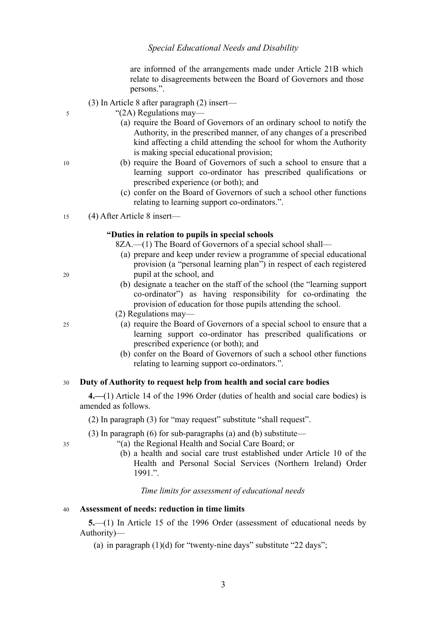are informed of the arrangements made under Article 21B which relate to disagreements between the Board of Governors and those persons.".

- (3) In Article 8 after paragraph (2) insert—
	- "(2A) Regulations may—
		- (a) require the Board of Governors of an ordinary school to notify the Authority, in the prescribed manner, of any changes of a prescribed kind affecting a child attending the school for whom the Authority is making special educational provision;
		- (b) require the Board of Governors of such a school to ensure that a learning support co-ordinator has prescribed qualifications or prescribed experience (or both); and
		- (c) confer on the Board of Governors of such a school other functions relating to learning support co-ordinators.".

(4) After Article 8 insert— 15

### **"Duties in relation to pupils in special schools**

8ZA.—(1) The Board of Governors of a special school shall—

- (a) prepare and keep under review a programme of special educational provision (a "personal learning plan") in respect of each registered pupil at the school, and
- (b) designate a teacher on the staff of the school (the "learning support co-ordinator") as having responsibility for co-ordinating the provision of education for those pupils attending the school.
- (2) Regulations may—
	- (a) require the Board of Governors of a special school to ensure that a learning support co-ordinator has prescribed qualifications or prescribed experience (or both); and
	- (b) confer on the Board of Governors of such a school other functions relating to learning support co-ordinators.".

#### **Duty of Authority to request help from health and social care bodies**  30

**4.—**(1) Article 14 of the 1996 Order (duties of health and social care bodies) is amended as follows.

(2) In paragraph (3) for "may request" substitute "shall request".

(3) In paragraph (6) for sub-paragraphs (a) and (b) substitute—

- "(a) the Regional Health and Social Care Board; or
	- (b) a health and social care trust established under Article 10 of the Health and Personal Social Services (Northern Ireland) Order 1991.".

*Time limits for assessment of educational needs*

#### **Assessment of needs: reduction in time limits**  40

**5.**—(1) In Article 15 of the 1996 Order (assessment of educational needs by Authority)—

(a) in paragraph  $(1)(d)$  for "twenty-nine days" substitute "22 days";

10

5

 $20$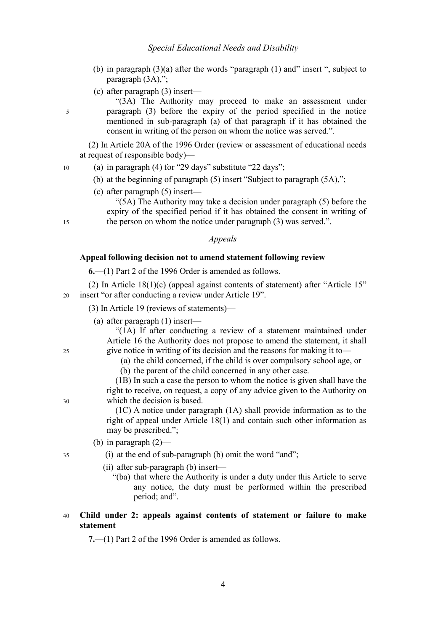- (b) in paragraph (3)(a) after the words "paragraph (1) and" insert ", subject to paragraph (3A),":
- (c) after paragraph (3) insert—

"(3A) The Authority may proceed to make an assessment under paragraph (3) before the expiry of the period specified in the notice mentioned in sub-paragraph (a) of that paragraph if it has obtained the consent in writing of the person on whom the notice was served.".

(2) In Article 20A of the 1996 Order (review or assessment of educational needs at request of responsible body)—

- (a) in paragraph (4) for "29 days" substitute "22 days";
	- (b) at the beginning of paragraph (5) insert "Subject to paragraph (5A),";
	- (c) after paragraph (5) insert—

" $(5A)$  The Authority may take a decision under paragraph  $(5)$  before the expiry of the specified period if it has obtained the consent in writing of the person on whom the notice under paragraph (3) was served.".

### *Appeals*

### **Appeal following decision not to amend statement following review**

**6.—**(1) Part 2 of the 1996 Order is amended as follows.

(2) In Article 18(1)(c) (appeal against contents of statement) after "Article 15" insert "or after conducting a review under Article 19". 20

- (3) In Article 19 (reviews of statements)—
	- (a) after paragraph (1) insert—

"(1A) If after conducting a review of a statement maintained under Article 16 the Authority does not propose to amend the statement, it shall give notice in writing of its decision and the reasons for making it to—

- (a) the child concerned, if the child is over compulsory school age, or
- (b) the parent of the child concerned in any other case.

(1B) In such a case the person to whom the notice is given shall have the right to receive, on request, a copy of any advice given to the Authority on which the decision is based.

(1C) A notice under paragraph (1A) shall provide information as to the right of appeal under Article 18(1) and contain such other information as may be prescribed.";

- (b) in paragraph (2)—
- (i) at the end of sub-paragraph (b) omit the word "and";
	- (ii) after sub-paragraph (b) insert—
		- "(ba) that where the Authority is under a duty under this Article to serve any notice, the duty must be performed within the prescribed period; and".

#### **Child under 2: appeals against contents of statement or failure to make statement**  40

**7.—**(1) Part 2 of the 1996 Order is amended as follows.

5

10

15

 $25$ 

30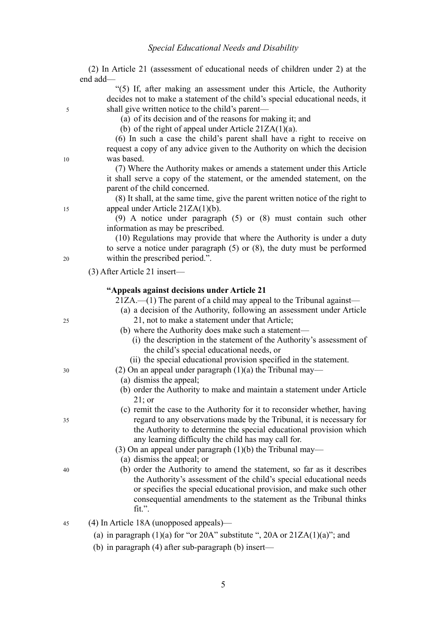5

10

15

20

25

30

35

40

| (2) In Article 21 (assessment of educational needs of children under 2) at the                                                                                                                                                                                                                                                                                                                                                                                                                                                                                                                                                                                                                                                                                                                                                                                                                                                                                                                                                                                                                           |
|----------------------------------------------------------------------------------------------------------------------------------------------------------------------------------------------------------------------------------------------------------------------------------------------------------------------------------------------------------------------------------------------------------------------------------------------------------------------------------------------------------------------------------------------------------------------------------------------------------------------------------------------------------------------------------------------------------------------------------------------------------------------------------------------------------------------------------------------------------------------------------------------------------------------------------------------------------------------------------------------------------------------------------------------------------------------------------------------------------|
| end add-<br>"(5) If, after making an assessment under this Article, the Authority<br>decides not to make a statement of the child's special educational needs, it<br>shall give written notice to the child's parent—<br>(a) of its decision and of the reasons for making it; and<br>(b) of the right of appeal under Article $21ZA(1)(a)$ .<br>(6) In such a case the child's parent shall have a right to receive on<br>request a copy of any advice given to the Authority on which the decision<br>was based.<br>(7) Where the Authority makes or amends a statement under this Article<br>it shall serve a copy of the statement, or the amended statement, on the<br>parent of the child concerned.<br>(8) It shall, at the same time, give the parent written notice of the right to<br>appeal under Article 21ZA(1)(b).<br>$(9)$ A notice under paragraph $(5)$ or $(8)$ must contain such other<br>information as may be prescribed.<br>(10) Regulations may provide that where the Authority is under a duty<br>to serve a notice under paragraph $(5)$ or $(8)$ , the duty must be performed |
| within the prescribed period.".                                                                                                                                                                                                                                                                                                                                                                                                                                                                                                                                                                                                                                                                                                                                                                                                                                                                                                                                                                                                                                                                          |
| $(3)$ After Article 21 insert—                                                                                                                                                                                                                                                                                                                                                                                                                                                                                                                                                                                                                                                                                                                                                                                                                                                                                                                                                                                                                                                                           |
| "Appeals against decisions under Article 21<br>$21ZA$ — $(1)$ The parent of a child may appeal to the Tribunal against—<br>(a) a decision of the Authority, following an assessment under Article<br>21, not to make a statement under that Article;<br>(b) where the Authority does make such a statement—<br>(i) the description in the statement of the Authority's assessment of<br>the child's special educational needs, or<br>(ii) the special educational provision specified in the statement.<br>$(2)$ On an appeal under paragraph $(1)(a)$ the Tribunal may—<br>(a) dismiss the appeal;                                                                                                                                                                                                                                                                                                                                                                                                                                                                                                      |
| (b) order the Authority to make and maintain a statement under Article<br>$21$ ; or                                                                                                                                                                                                                                                                                                                                                                                                                                                                                                                                                                                                                                                                                                                                                                                                                                                                                                                                                                                                                      |
| (c) remit the case to the Authority for it to reconsider whether, having<br>regard to any observations made by the Tribunal, it is necessary for<br>the Authority to determine the special educational provision which<br>any learning difficulty the child has may call for.<br>$(3)$ On an appeal under paragraph $(1)(b)$ the Tribunal may—<br>(a) dismiss the appeal; or                                                                                                                                                                                                                                                                                                                                                                                                                                                                                                                                                                                                                                                                                                                             |
| (b) order the Authority to amend the statement, so far as it describes<br>the Authority's assessment of the child's special educational needs<br>or specifies the special educational provision, and make such other                                                                                                                                                                                                                                                                                                                                                                                                                                                                                                                                                                                                                                                                                                                                                                                                                                                                                     |
| consequential amendments to the statement as the Tribunal thinks<br>fit.".                                                                                                                                                                                                                                                                                                                                                                                                                                                                                                                                                                                                                                                                                                                                                                                                                                                                                                                                                                                                                               |

- (a) in paragraph  $(1)(a)$  for "or 20A" substitute ", 20A or  $21ZA(1)(a)$ "; and
- (b) in paragraph (4) after sub-paragraph (b) insert—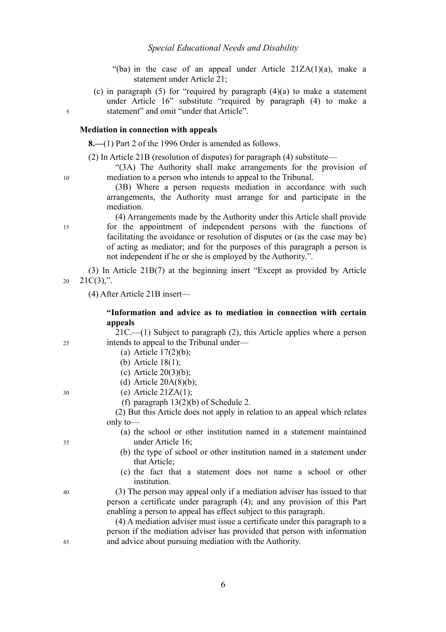- "(ba) in the case of an appeal under Article  $21ZA(1)(a)$ , make a statement under Article 21;
- (c) in paragraph  $(5)$  for "required by paragraph  $(4)(a)$  to make a statement under Article 16" substitute "required by paragraph (4) to make a statement" and omit "under that Article".

### **Mediation in connection with appeals**

**8.—**(1) Part 2 of the 1996 Order is amended as follows.

(2) In Article 21B (resolution of disputes) for paragraph (4) substitute—

"(3A) The Authority shall make arrangements for the provision of mediation to a person who intends to appeal to the Tribunal.

(3B) Where a person requests mediation in accordance with such arrangements, the Authority must arrange for and participate in the mediation.

(4) Arrangements made by the Authority under this Article shall provide for the appointment of independent persons with the functions of facilitating the avoidance or resolution of disputes or (as the case may be) of acting as mediator; and for the purposes of this paragraph a person is not independent if he or she is employed by the Authority.".

(3) In Article 21B(7) at the beginning insert "Except as provided by Article  $21C(3)$ ,". 20

(4) After Article 21B insert—

### **"Information and advice as to mediation in connection with certain appeals**

21C.—(1) Subject to paragraph (2), this Article applies where a person intends to appeal to the Tribunal under—

- (a) Article 17(2)(b);
- (b) Article 18(1);
- (c) Article 20(3)(b);
- (d) Article  $20A(8)(b)$ ;
- (e) Article  $21ZA(1)$ ;
- (f) paragraph 13(2)(b) of Schedule 2.

(2) But this Article does not apply in relation to an appeal which relates only to—

- (a) the school or other institution named in a statement maintained under Article 16;
- (b) the type of school or other institution named in a statement under that Article;
- (c) the fact that a statement does not name a school or other institution.

(3) The person may appeal only if a mediation adviser has issued to that person a certificate under paragraph (4); and any provision of this Part enabling a person to appeal has effect subject to this paragraph.

(4) A mediation adviser must issue a certificate under this paragraph to a person if the mediation adviser has provided that person with information and advice about pursuing mediation with the Authority.

10

5

15

25

30

35

40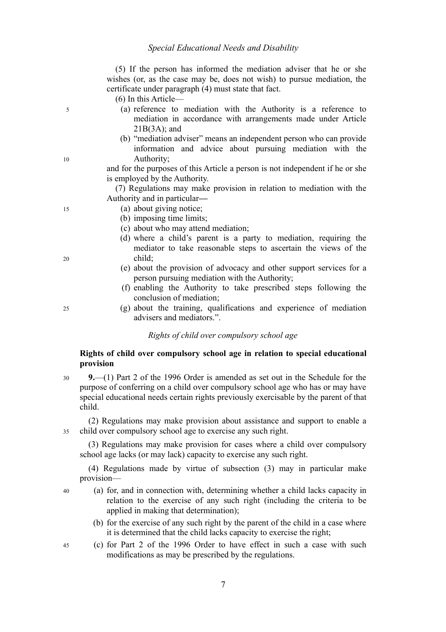(5) If the person has informed the mediation adviser that he or she wishes (or, as the case may be, does not wish) to pursue mediation, the certificate under paragraph (4) must state that fact.

(6) In this Article—

- (a) reference to mediation with the Authority is a reference to mediation in accordance with arrangements made under Article  $21B(3A)$ ; and
- (b) "mediation adviser" means an independent person who can provide information and advice about pursuing mediation with the Authority;

and for the purposes of this Article a person is not independent if he or she is employed by the Authority.

(7) Regulations may make provision in relation to mediation with the Authority and in particular**—**

- (a) about giving notice;
	- (b) imposing time limits;
	- (c) about who may attend mediation;
	- (d) where a child's parent is a party to mediation, requiring the mediator to take reasonable steps to ascertain the views of the child;
	- (e) about the provision of advocacy and other support services for a person pursuing mediation with the Authority;
	- (f) enabling the Authority to take prescribed steps following the conclusion of mediation;
	- (g) about the training, qualifications and experience of mediation advisers and mediators.".

*Rights of child over compulsory school age*

### <span id="page-8-2"></span><span id="page-8-1"></span>**Rights of child over compulsory school age in relation to special educational provision**

**9.**—(1) Part 2 of the 1996 Order is amended as set out in the Schedule for the purpose of conferring on a child over compulsory school age who has or may have special educational needs certain rights previously exercisable by the parent of that child. 30

(2) Regulations may make provision about assistance and support to enable a child over compulsory school age to exercise any such right. 35

<span id="page-8-0"></span>(3) Regulations may make provision for cases where a child over compulsory school age lacks (or may lack) capacity to exercise any such right.

(4) Regulations made by virtue of subsection [\(3\)](#page-8-0) may in particular make provision—

- (a) for, and in connection with, determining whether a child lacks capacity in relation to the exercise of any such right (including the criteria to be applied in making that determination);
	- (b) for the exercise of any such right by the parent of the child in a case where it is determined that the child lacks capacity to exercise the right;
- (c) for Part 2 of the 1996 Order to have effect in such a case with such modifications as may be prescribed by the regulations.

25

5

10

15

 $20$ 

40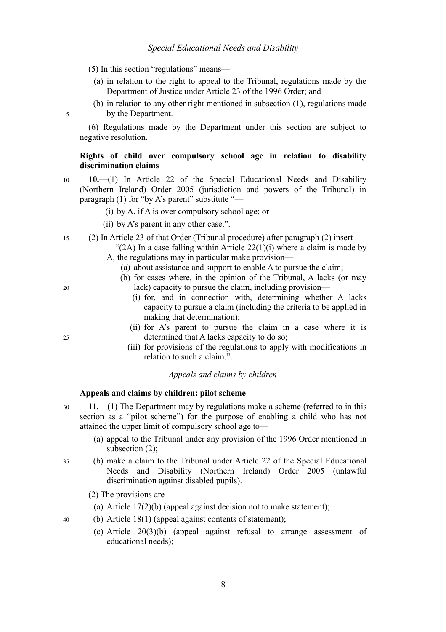(5) In this section "regulations" means—

- (a) in relation to the right to appeal to the Tribunal, regulations made by the Department of Justice under Article 23 of the 1996 Order; and
- (b) in relation to any other right mentioned in subsection [\(1\),](#page-8-1) regulations made by the Department.

(6) Regulations made by the Department under this section are subject to negative resolution.

### **Rights of child over compulsory school age in relation to disability discrimination claims**

- **10.**—(1) In Article 22 of the Special Educational Needs and Disability (Northern Ireland) Order 2005 (jurisdiction and powers of the Tribunal) in paragraph (1) for "by A's parent" substitute "— 10
	- (i) by A, if A is over compulsory school age; or
	- (ii) by A's parent in any other case.".
- (2) In Article 23 of that Order (Tribunal procedure) after paragraph (2) insert— 15
	- "(2A) In a case falling within Article  $22(1)(i)$  where a claim is made by A, the regulations may in particular make provision—
		- (a) about assistance and support to enable A to pursue the claim;
		- (b) for cases where, in the opinion of the Tribunal, A lacks (or may lack) capacity to pursue the claim, including provision—
			- (i) for, and in connection with, determining whether A lacks capacity to pursue a claim (including the criteria to be applied in making that determination);
			- (ii) for A's parent to pursue the claim in a case where it is determined that A lacks capacity to do so;
			- (iii) for provisions of the regulations to apply with modifications in relation to such a claim.".

### *Appeals and claims by children*

### <span id="page-9-3"></span><span id="page-9-2"></span>**Appeals and claims by children: pilot scheme**

- **11.—**(1) The Department may by regulations make a scheme (referred to in this section as a "pilot scheme") for the purpose of enabling a child who has not attained the upper limit of compulsory school age to— 30
	- (a) appeal to the Tribunal under any provision of the 1996 Order mentioned in subsection [\(2\);](#page-9-0)
- <span id="page-9-1"></span><span id="page-9-0"></span>(b) make a claim to the Tribunal under Article 22 of the Special Educational Needs and Disability (Northern Ireland) Order 2005 (unlawful discrimination against disabled pupils). 35
	- (2) The provisions are—
		- (a) Article 17(2)(b) (appeal against decision not to make statement);
	- (b) Article 18(1) (appeal against contents of statement);
		- (c) Article 20(3)(b) (appeal against refusal to arrange assessment of educational needs);

20

25

5

8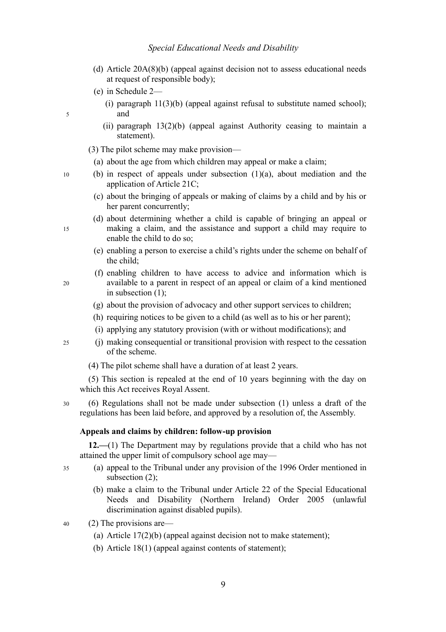- (d) Article 20A(8)(b) (appeal against decision not to assess educational needs at request of responsible body);
- (e) in Schedule 2—
	- (i) paragraph  $11(3)(b)$  (appeal against refusal to substitute named school); and
	- (ii) paragraph 13(2)(b) (appeal against Authority ceasing to maintain a statement).
- (3) The pilot scheme may make provision—
	- (a) about the age from which children may appeal or make a claim;
- (b) in respect of appeals under subsection [\(1\)](#page-9-2)[\(a\),](#page-9-1) about mediation and the application of Article 21C;
	- (c) about the bringing of appeals or making of claims by a child and by his or her parent concurrently;
	- (d) about determining whether a child is capable of bringing an appeal or making a claim, and the assistance and support a child may require to enable the child to do so;
		- (e) enabling a person to exercise a child's rights under the scheme on behalf of the child;
	- (f) enabling children to have access to advice and information which is available to a parent in respect of an appeal or claim of a kind mentioned in subsection (1);
	- (g) about the provision of advocacy and other support services to children;
	- (h) requiring notices to be given to a child (as well as to his or her parent);
	- (i) applying any statutory provision (with or without modifications); and

 $25$ 

5

10

15

 $20$ 

- (j) making consequential or transitional provision with respect to the cessation of the scheme.
- (4) The pilot scheme shall have a duration of at least 2 years.

(5) This section is repealed at the end of 10 years beginning with the day on which this Act receives Royal Assent.

(6) Regulations shall not be made under subsection (1) unless a draft of the regulations has been laid before, and approved by a resolution of, the Assembly. 30

### **Appeals and claims by children: follow-up provision**

<span id="page-10-0"></span>**12.—**(1) The Department may by regulations provide that a child who has not attained the upper limit of compulsory school age may—

- 35
- (a) appeal to the Tribunal under any provision of the 1996 Order mentioned in subsection [\(2\);](#page-9-0)
- (b) make a claim to the Tribunal under Article 22 of the Special Educational Needs and Disability (Northern Ireland) Order 2005 (unlawful discrimination against disabled pupils).
- (2) The provisions are— 40
	- (a) Article 17(2)(b) (appeal against decision not to make statement);
	- (b) Article 18(1) (appeal against contents of statement);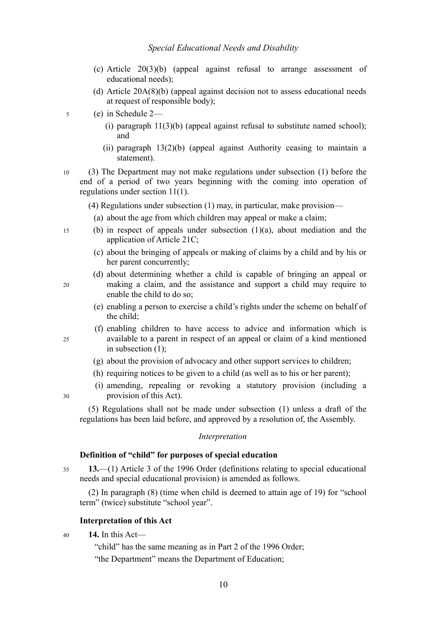- (c) Article 20(3)(b) (appeal against refusal to arrange assessment of educational needs);
- (d) Article 20A(8)(b) (appeal against decision not to assess educational needs at request of responsible body);
- (e) in Schedule 2— 5
	- (i) paragraph  $11(3)(b)$  (appeal against refusal to substitute named school); and
	- (ii) paragraph 13(2)(b) (appeal against Authority ceasing to maintain a statement).
- (3) The Department may not make regulations under subsection [\(1\)](#page-10-0) before the end of a period of two years beginning with the coming into operation of regulations under section [11\(](#page-9-3)1). 10
	- (4) Regulations under subsection [\(1\)](#page-10-0) may, in particular, make provision—
		- (a) about the age from which children may appeal or make a claim;
	- (b) in respect of appeals under subsection [\(1\)](#page-10-0)[\(a\),](#page-9-1) about mediation and the application of Article 21C;
		- (c) about the bringing of appeals or making of claims by a child and by his or her parent concurrently;
		- (d) about determining whether a child is capable of bringing an appeal or making a claim, and the assistance and support a child may require to enable the child to do so;
		- (e) enabling a person to exercise a child's rights under the scheme on behalf of the child;
		- (f) enabling children to have access to advice and information which is available to a parent in respect of an appeal or claim of a kind mentioned in subsection (1);
		- (g) about the provision of advocacy and other support services to children;
		- (h) requiring notices to be given to a child (as well as to his or her parent);
		- (i) amending, repealing or revoking a statutory provision (including a provision of this Act).

30

15

20

 $25$ 

(5) Regulations shall not be made under subsection [\(1\)](#page-10-0) unless a draft of the regulations has been laid before, and approved by a resolution of, the Assembly.

### *Interpretation*

### <span id="page-11-1"></span>**Definition of "child" for purposes of special education**

**13.**—(1) Article 3 of the 1996 Order (definitions relating to special educational needs and special educational provision) is amended as follows. 35

(2) In paragraph (8) (time when child is deemed to attain age of 19) for "school term" (twice) substitute "school year".

### <span id="page-11-0"></span>**Interpretation of this Act**

**14.** In this Act— 40

"child" has the same meaning as in Part 2 of the 1996 Order;

"the Department" means the Department of Education;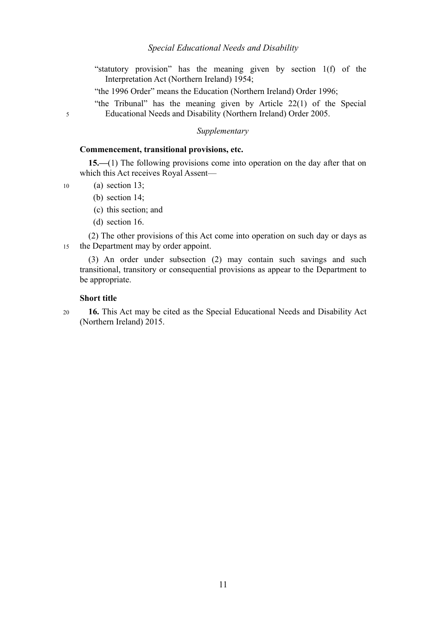- "statutory provision" has the meaning given by section 1(f) of the Interpretation Act (Northern Ireland) 1954;
- "the 1996 Order" means the Education (Northern Ireland) Order 1996;
- "the Tribunal" has the meaning given by Article 22(1) of the Special Educational Needs and Disability (Northern Ireland) Order 2005.

### *Supplementary*

### **Commencement, transitional provisions, etc.**

**15.—**(1) The following provisions come into operation on the day after that on which this Act receives Royal Assent—

(a) section [13;](#page-11-1)

5

10

- (b) section [14;](#page-11-0)
- (c) this section; and
- <span id="page-12-0"></span>(d) section [16.](#page-12-1)

(2) The other provisions of this Act come into operation on such day or days as the Department may by order appoint. 15

(3) An order under subsection [\(2\)](#page-12-0) may contain such savings and such transitional, transitory or consequential provisions as appear to the Department to be appropriate.

### <span id="page-12-1"></span>**Short title**

**16.** This Act may be cited as the Special Educational Needs and Disability Act (Northern Ireland) 2015. 20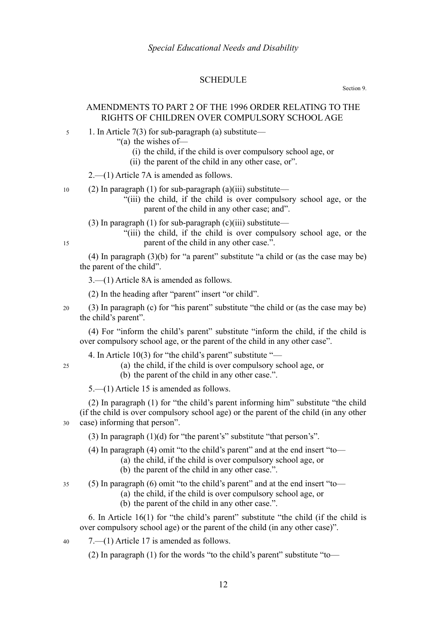### **SCHEDULE**

#### Section [9.](#page-8-2)

### AMENDMENTS TO PART 2 OF THE 1996 ORDER RELATING TO THE RIGHTS OF CHILDREN OVER COMPULSORY SCHOOL AGE

- 1. In Article 7(3) for sub-paragraph (a) substitute— 5
	- "(a) the wishes of—
		- (i) the child, if the child is over compulsory school age, or
		- (ii) the parent of the child in any other case, or".

2.—(1) Article 7A is amended as follows.

- (2) In paragraph (1) for sub-paragraph (a)(iii) substitute— 10
	- "(iii) the child, if the child is over compulsory school age, or the parent of the child in any other case; and".
	- (3) In paragraph (1) for sub-paragraph (c)(iii) substitute—
		- "(iii) the child, if the child is over compulsory school age, or the parent of the child in any other case.".

(4) In paragraph (3)(b) for "a parent" substitute "a child or (as the case may be) the parent of the child".

3.—(1) Article 8A is amended as follows.

15

 $25$ 

(2) In the heading after "parent" insert "or child".

(3) In paragraph (c) for "his parent" substitute "the child or (as the case may be) the child's parent". 20

(4) For "inform the child's parent" substitute "inform the child, if the child is over compulsory school age, or the parent of the child in any other case".

4. In Article 10(3) for "the child's parent" substitute "—

- (a) the child, if the child is over compulsory school age, or
	- (b) the parent of the child in any other case.".

5.—(1) Article 15 is amended as follows.

(2) In paragraph (1) for "the child's parent informing him" substitute "the child (if the child is over compulsory school age) or the parent of the child (in any other case) informing that person". 30

(3) In paragraph (1)(d) for "the parent's" substitute "that person's".

(4) In paragraph (4) omit "to the child's parent" and at the end insert "to—

- (a) the child, if the child is over compulsory school age, or
- (b) the parent of the child in any other case.".

(5) In paragraph (6) omit "to the child's parent" and at the end insert "to— 35

- (a) the child, if the child is over compulsory school age, or
- (b) the parent of the child in any other case.".

6. In Article 16(1) for "the child's parent" substitute "the child (if the child is over compulsory school age) or the parent of the child (in any other case)".

7.—(1) Article 17 is amended as follows. 40

(2) In paragraph (1) for the words "to the child's parent" substitute "to—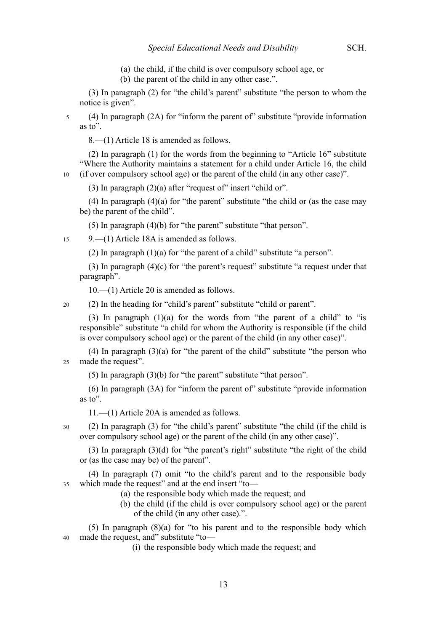- (a) the child, if the child is over compulsory school age, or
- (b) the parent of the child in any other case.".

(3) In paragraph (2) for "the child's parent" substitute "the person to whom the notice is given".

(4) In paragraph (2A) for "inform the parent of" substitute "provide information as to". 5

8.—(1) Article 18 is amended as follows.

(2) In paragraph (1) for the words from the beginning to "Article 16" substitute "Where the Authority maintains a statement for a child under Article 16, the child (if over compulsory school age) or the parent of the child (in any other case)".

(3) In paragraph  $(2)(a)$  after "request of" insert "child or".

(4) In paragraph (4)(a) for "the parent" substitute "the child or (as the case may be) the parent of the child".

(5) In paragraph (4)(b) for "the parent" substitute "that person".

9.—(1) Article 18A is amended as follows. 15

(2) In paragraph (1)(a) for "the parent of a child" substitute "a person".

(3) In paragraph (4)(c) for "the parent's request" substitute "a request under that paragraph".

10.—(1) Article 20 is amended as follows.

(2) In the heading for "child's parent" substitute "child or parent".  $20$ 

(3) In paragraph  $(1)(a)$  for the words from "the parent of a child" to "is responsible" substitute "a child for whom the Authority is responsible (if the child is over compulsory school age) or the parent of the child (in any other case)".

(4) In paragraph (3)(a) for "the parent of the child" substitute "the person who made the request". 25

(5) In paragraph (3)(b) for "the parent" substitute "that person".

(6) In paragraph (3A) for "inform the parent of" substitute "provide information as to".

11.—(1) Article 20A is amended as follows.

(2) In paragraph (3) for "the child's parent" substitute "the child (if the child is over compulsory school age) or the parent of the child (in any other case)".

(3) In paragraph (3)(d) for "the parent's right" substitute "the right of the child or (as the case may be) of the parent".

(4) In paragraph (7) omit "to the child's parent and to the responsible body which made the request" and at the end insert "to— 35

- (a) the responsible body which made the request; and
- (b) the child (if the child is over compulsory school age) or the parent of the child (in any other case).".

(5) In paragraph (8)(a) for "to his parent and to the responsible body which made the request, and" substitute "to— 40

(i) the responsible body which made the request; and

30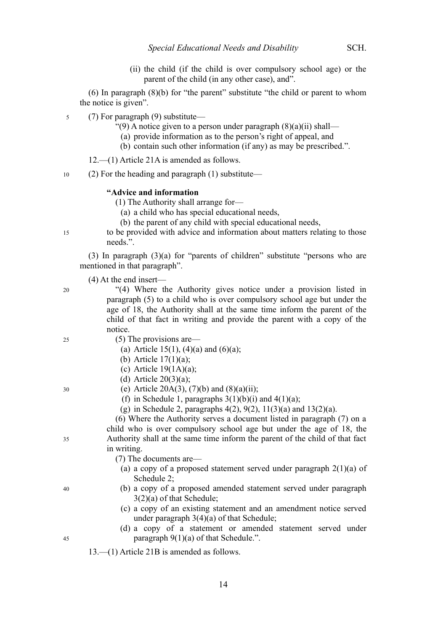(ii) the child (if the child is over compulsory school age) or the parent of the child (in any other case), and".

(6) In paragraph (8)(b) for "the parent" substitute "the child or parent to whom the notice is given".

(7) For paragraph (9) substitute— 5

- "(9) A notice given to a person under paragraph  $(8)(a)(ii)$  shall—
	- (a) provide information as to the person's right of appeal, and
	- (b) contain such other information (if any) as may be prescribed.".

12.—(1) Article 21A is amended as follows.

(2) For the heading and paragraph (1) substitute— 10

### **"Advice and information**

(1) The Authority shall arrange for—

(a) a child who has special educational needs,

(b) the parent of any child with special educational needs,

to be provided with advice and information about matters relating to those needs.".

(3) In paragraph (3)(a) for "parents of children" substitute "persons who are mentioned in that paragraph".

(4) At the end insert—

20

15

- 
- "(4) Where the Authority gives notice under a provision listed in paragraph (5) to a child who is over compulsory school age but under the age of 18, the Authority shall at the same time inform the parent of the child of that fact in writing and provide the parent with a copy of the notice.
- $25$

30

35

40

(5) The provisions are—

- (a) Article 15(1), (4)(a) and (6)(a);
- (b) Article 17(1)(a);
- (c) Article  $19(1A)(a)$ ;
- (d) Article  $20(3)(a)$ ;

(e) Article 20A(3), (7)(b) and (8)(a)(ii);

(f) in Schedule 1, paragraphs  $3(1)(b)(i)$  and  $4(1)(a)$ ;

(g) in Schedule 2, paragraphs  $4(2)$ ,  $9(2)$ ,  $11(3)(a)$  and  $13(2)(a)$ .

(6) Where the Authority serves a document listed in paragraph (7) on a child who is over compulsory school age but under the age of 18, the Authority shall at the same time inform the parent of the child of that fact in writing.

(7) The documents are—

- (a) a copy of a proposed statement served under paragraph  $2(1)(a)$  of Schedule 2;
- (b) a copy of a proposed amended statement served under paragraph 3(2)(a) of that Schedule;
- (c) a copy of an existing statement and an amendment notice served under paragraph 3(4)(a) of that Schedule;
- (d) a copy of a statement or amended statement served under paragraph  $9(1)(a)$  of that Schedule.".

13.—(1) Article 21B is amended as follows.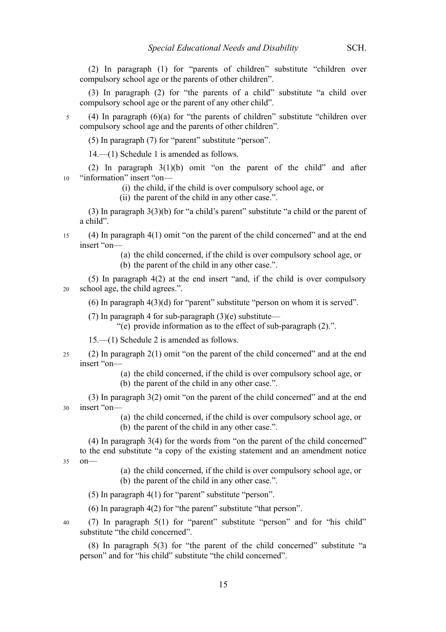(2) In paragraph (1) for "parents of children" substitute "children over compulsory school age or the parents of other children".

(3) In paragraph (2) for "the parents of a child" substitute "a child over compulsory school age or the parent of any other child".

(4) In paragraph (6)(a) for "the parents of children" substitute "children over compulsory school age and the parents of other children".

(5) In paragraph (7) for "parent" substitute "person".

14.—(1) Schedule 1 is amended as follows.

(2) In paragraph 3(1)(b) omit "on the parent of the child" and after "information" insert "on— 10

(i) the child, if the child is over compulsory school age, or

(ii) the parent of the child in any other case.".

(3) In paragraph 3(3)(b) for "a child's parent" substitute "a child or the parent of a child".

(4) In paragraph 4(1) omit "on the parent of the child concerned" and at the end insert "on— 15

> (a) the child concerned, if the child is over compulsory school age, or (b) the parent of the child in any other case.".

(5) In paragraph 4(2) at the end insert "and, if the child is over compulsory school age, the child agrees.". 20

(6) In paragraph 4(3)(d) for "parent" substitute "person on whom it is served".

(7) In paragraph 4 for sub-paragraph  $(3)(e)$  substitute—

"(e) provide information as to the effect of sub-paragraph (2).".

15.—(1) Schedule 2 is amended as follows.

- (2) In paragraph 2(1) omit "on the parent of the child concerned" and at the end insert "on— 25
	- (a) the child concerned, if the child is over compulsory school age, or (b) the parent of the child in any other case.".

(3) In paragraph 3(2) omit "on the parent of the child concerned" and at the end insert "on— 30

> (a) the child concerned, if the child is over compulsory school age, or (b) the parent of the child in any other case.".

(4) In paragraph 3(4) for the words from "on the parent of the child concerned" to the end substitute "a copy of the existing statement and an amendment notice on—

35

5

(a) the child concerned, if the child is over compulsory school age, or (b) the parent of the child in any other case.".

(5) In paragraph 4(1) for "parent" substitute "person".

(6) In paragraph 4(2) for "the parent" substitute "that person".

(7) In paragraph 5(1) for "parent" substitute "person" and for "his child" substitute "the child concerned". 40

(8) In paragraph 5(3) for "the parent of the child concerned" substitute "a person" and for "his child" substitute "the child concerned".